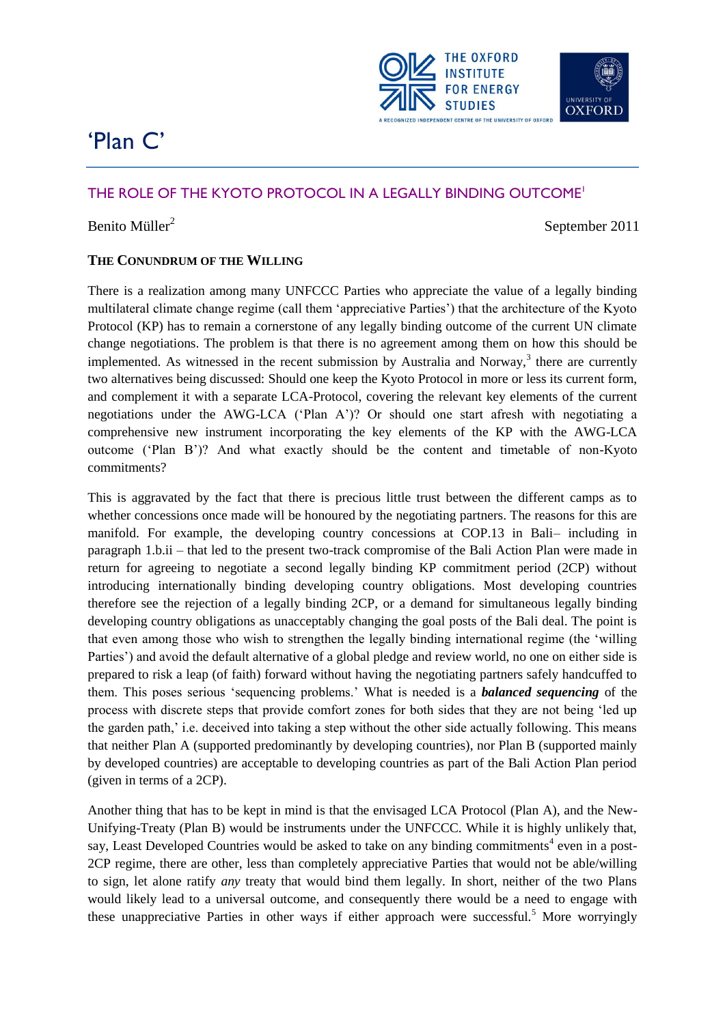

# 'Plan C'

# THE ROLE OF THE KYOTO PROTOCOL IN A LEGALLY BINDING OUTCOME<sup>1</sup>

# Benito Müller<sup>2</sup>

September 2011

# **THE CONUNDRUM OF THE WILLING**

There is a realization among many UNFCCC Parties who appreciate the value of a legally binding multilateral climate change regime (call them "appreciative Parties") that the architecture of the Kyoto Protocol (KP) has to remain a cornerstone of any legally binding outcome of the current UN climate change negotiations. The problem is that there is no agreement among them on how this should be implemented. As witnessed in the recent submission by Australia and Norway, $3$  there are currently two alternatives being discussed: Should one keep the Kyoto Protocol in more or less its current form, and complement it with a separate LCA-Protocol, covering the relevant key elements of the current negotiations under the AWG-LCA ("Plan A")? Or should one start afresh with negotiating a comprehensive new instrument incorporating the key elements of the KP with the AWG-LCA outcome ("Plan B")? And what exactly should be the content and timetable of non-Kyoto commitments?

This is aggravated by the fact that there is precious little trust between the different camps as to whether concessions once made will be honoured by the negotiating partners. The reasons for this are manifold. For example, the developing country concessions at COP.13 in Bali– including in paragraph 1.b.ii – that led to the present two-track compromise of the Bali Action Plan were made in return for agreeing to negotiate a second legally binding KP commitment period (2CP) without introducing internationally binding developing country obligations. Most developing countries therefore see the rejection of a legally binding 2CP, or a demand for simultaneous legally binding developing country obligations as unacceptably changing the goal posts of the Bali deal. The point is that even among those who wish to strengthen the legally binding international regime (the "willing Parties") and avoid the default alternative of a global pledge and review world, no one on either side is prepared to risk a leap (of faith) forward without having the negotiating partners safely handcuffed to them. This poses serious "sequencing problems." What is needed is a *balanced sequencing* of the process with discrete steps that provide comfort zones for both sides that they are not being "led up the garden path," i.e. deceived into taking a step without the other side actually following. This means that neither Plan A (supported predominantly by developing countries), nor Plan B (supported mainly by developed countries) are acceptable to developing countries as part of the Bali Action Plan period (given in terms of a 2CP).

Another thing that has to be kept in mind is that the envisaged LCA Protocol (Plan A), and the New-Unifying-Treaty (Plan B) would be instruments under the UNFCCC. While it is highly unlikely that, say, Least Developed Countries would be asked to take on any binding commitments<sup>4</sup> even in a post-2CP regime, there are other, less than completely appreciative Parties that would not be able/willing to sign, let alone ratify *any* treaty that would bind them legally. In short, neither of the two Plans would likely lead to a universal outcome, and consequently there would be a need to engage with these unappreciative Parties in other ways if either approach were successful.<sup>5</sup> More worryingly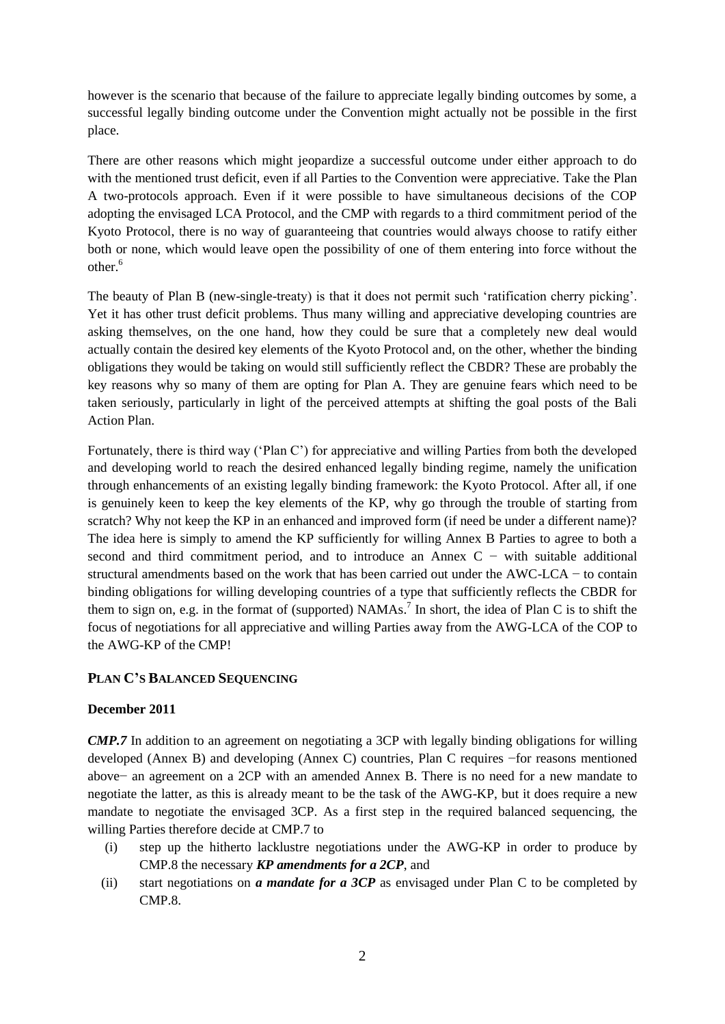however is the scenario that because of the failure to appreciate legally binding outcomes by some, a successful legally binding outcome under the Convention might actually not be possible in the first place.

There are other reasons which might jeopardize a successful outcome under either approach to do with the mentioned trust deficit, even if all Parties to the Convention were appreciative. Take the Plan A two-protocols approach. Even if it were possible to have simultaneous decisions of the COP adopting the envisaged LCA Protocol, and the CMP with regards to a third commitment period of the Kyoto Protocol, there is no way of guaranteeing that countries would always choose to ratify either both or none, which would leave open the possibility of one of them entering into force without the other.<sup>6</sup>

The beauty of Plan B (new-single-treaty) is that it does not permit such "ratification cherry picking". Yet it has other trust deficit problems. Thus many willing and appreciative developing countries are asking themselves, on the one hand, how they could be sure that a completely new deal would actually contain the desired key elements of the Kyoto Protocol and, on the other, whether the binding obligations they would be taking on would still sufficiently reflect the CBDR? These are probably the key reasons why so many of them are opting for Plan A. They are genuine fears which need to be taken seriously, particularly in light of the perceived attempts at shifting the goal posts of the Bali Action Plan.

Fortunately, there is third way ("Plan C") for appreciative and willing Parties from both the developed and developing world to reach the desired enhanced legally binding regime, namely the unification through enhancements of an existing legally binding framework: the Kyoto Protocol. After all, if one is genuinely keen to keep the key elements of the KP, why go through the trouble of starting from scratch? Why not keep the KP in an enhanced and improved form (if need be under a different name)? The idea here is simply to amend the KP sufficiently for willing Annex B Parties to agree to both a second and third commitment period, and to introduce an Annex  $C -$  with suitable additional structural amendments based on the work that has been carried out under the AWC-LCA − to contain binding obligations for willing developing countries of a type that sufficiently reflects the CBDR for them to sign on, e.g. in the format of (supported)  $NAMAs$ <sup>7</sup>. In short, the idea of Plan C is to shift the focus of negotiations for all appreciative and willing Parties away from the AWG-LCA of the COP to the AWG-KP of the CMP!

## **PLAN C'S BALANCED SEQUENCING**

#### **December 2011**

*CMP.7* In addition to an agreement on negotiating a 3CP with legally binding obligations for willing developed (Annex B) and developing (Annex C) countries, Plan C requires −for reasons mentioned above− an agreement on a 2CP with an amended Annex B. There is no need for a new mandate to negotiate the latter, as this is already meant to be the task of the AWG-KP, but it does require a new mandate to negotiate the envisaged 3CP. As a first step in the required balanced sequencing, the willing Parties therefore decide at CMP.7 to

- (i) step up the hitherto lacklustre negotiations under the AWG-KP in order to produce by CMP.8 the necessary *KP amendments for a 2CP*, and
- (ii) start negotiations on *a mandate for a 3CP* as envisaged under Plan C to be completed by CMP.8.